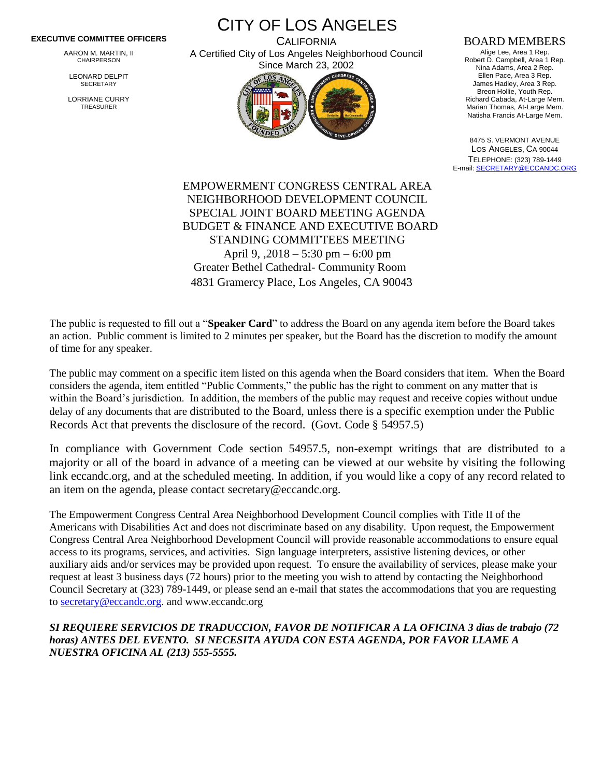## **EXECUTIVE COMMITTEE OFFICERS**

AARON M. MARTIN, II CHAIRPERSON

LEONARD DELPIT **SECRETARY** 

LORRIANE CURRY TREASURER

CITY OF LOS ANGELES **CALIFORNIA** 

A Certified City of Los Angeles Neighborhood Council Since March 23, 2002



## BOARD MEMBERS

Alige Lee, Area 1 Rep. Robert D. Campbell, Area 1 Rep. Nina Adams, Area 2 Rep. Ellen Pace, Area 3 Rep. James Hadley, Area 3 Rep. Breon Hollie, Youth Rep. Richard Cabada, At-Large Mem. Marian Thomas, At-Large Mem. Natisha Francis At-Large Mem.

8475 S. VERMONT AVENUE LOS ANGELES, CA 90044 TELEPHONE: (323) 789-1449 E-mail[: SECRETARY@ECCANDC.ORG](mailto:SECRETARY@ECCANDC.ORG)

EMPOWERMENT CONGRESS CENTRAL AREA NEIGHBORHOOD DEVELOPMENT COUNCIL SPECIAL JOINT BOARD MEETING AGENDA BUDGET & FINANCE AND EXECUTIVE BOARD STANDING COMMITTEES MEETING April 9, ,2018 – 5:30 pm – 6:00 pm Greater Bethel Cathedral- Community Room 4831 Gramercy Place, Los Angeles, CA 90043

The public is requested to fill out a "**Speaker Card**" to address the Board on any agenda item before the Board takes an action. Public comment is limited to 2 minutes per speaker, but the Board has the discretion to modify the amount of time for any speaker.

The public may comment on a specific item listed on this agenda when the Board considers that item. When the Board considers the agenda, item entitled "Public Comments," the public has the right to comment on any matter that is within the Board's jurisdiction. In addition, the members of the public may request and receive copies without undue delay of any documents that are distributed to the Board, unless there is a specific exemption under the Public Records Act that prevents the disclosure of the record. (Govt. Code § 54957.5)

In compliance with Government Code section 54957.5, non-exempt writings that are distributed to a majority or all of the board in advance of a meeting can be viewed at our website by visiting the following link eccandc.org, and at the scheduled meeting. In addition, if you would like a copy of any record related to an item on the agenda, please contact secretary@eccandc.org.

The Empowerment Congress Central Area Neighborhood Development Council complies with Title II of the Americans with Disabilities Act and does not discriminate based on any disability. Upon request, the Empowerment Congress Central Area Neighborhood Development Council will provide reasonable accommodations to ensure equal access to its programs, services, and activities. Sign language interpreters, assistive listening devices, or other auxiliary aids and/or services may be provided upon request. To ensure the availability of services, please make your request at least 3 business days (72 hours) prior to the meeting you wish to attend by contacting the Neighborhood Council Secretary at (323) 789-1449, or please send an e-mail that states the accommodations that you are requesting t[o secretary@eccandc.org.](mailto:secretary@eccandc.org) and www.eccandc.org

*SI REQUIERE SERVICIOS DE TRADUCCION, FAVOR DE NOTIFICAR A LA OFICINA 3 dias de trabajo (72 horas) ANTES DEL EVENTO. SI NECESITA AYUDA CON ESTA AGENDA, POR FAVOR LLAME A NUESTRA OFICINA AL (213) 555-5555.*